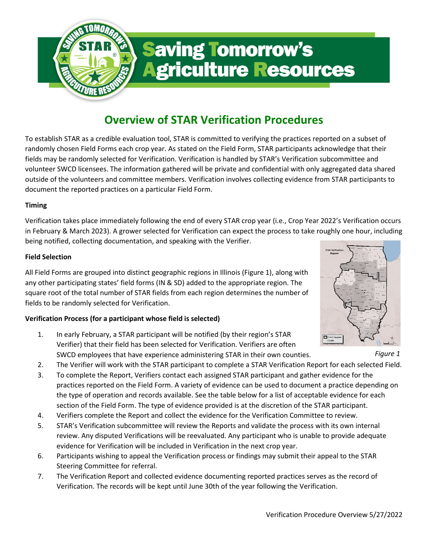

# **Saving Tomorrow's Agriculture Resources**

# **Overview of STAR Verification Procedures**

To establish STAR as a credible evaluation tool, STAR is committed to verifying the practices reported on a subset of randomly chosen Field Forms each crop year. As stated on the Field Form, STAR participants acknowledge that their fields may be randomly selected for Verification. Verification is handled by STAR's Verification subcommittee and volunteer SWCD licensees. The information gathered will be private and confidential with only aggregated data shared outside of the volunteers and committee members. Verification involves collecting evidence from STAR participants to document the reported practices on a particular Field Form.

# **Timing**

Verification takes place immediately following the end of every STAR crop year (i.e., Crop Year 2022's Verification occurs in February & March 2023). A grower selected for Verification can expect the process to take roughly one hour, including being notified, collecting documentation, and speaking with the Verifier.

## **Field Selection**

All Field Forms are grouped into distinct geographic regions in Illinois (Figure 1), along with any other participating states' field forms (IN & SD) added to the appropriate region. The square root of the total number of STAR fields from each region determines the number of fields to be randomly selected for Verification.

## **Verification Process (for a participant whose field is selected)**

- 1. In early February, a STAR participant will be notified (by their region's STAR Verifier) that their field has been selected for Verification. Verifiers are often SWCD employees that have experience administering STAR in their own counties.
- 2. The Verifier will work with the STAR participant to complete a STAR Verification Report for each selected Field.
- 3. To complete the Report, Verifiers contact each assigned STAR participant and gather evidence for the practices reported on the Field Form. A variety of evidence can be used to document a practice depending on the type of operation and records available. See the table below for a list of acceptable evidence for each section of the Field Form. The type of evidence provided is at the discretion of the STAR participant.
- 4. Verifiers complete the Report and collect the evidence for the Verification Committee to review.
- 5. STAR's Verification subcommittee will review the Reports and validate the process with its own internal review. Any disputed Verifications will be reevaluated. Any participant who is unable to provide adequate evidence for Verification will be included in Verification in the next crop year.
- 6. Participants wishing to appeal the Verification process or findings may submit their appeal to the STAR Steering Committee for referral.
- 7. The Verification Report and collected evidence documenting reported practices serves as the record of Verification. The records will be kept until June 30th of the year following the Verification.



*Figure 1*